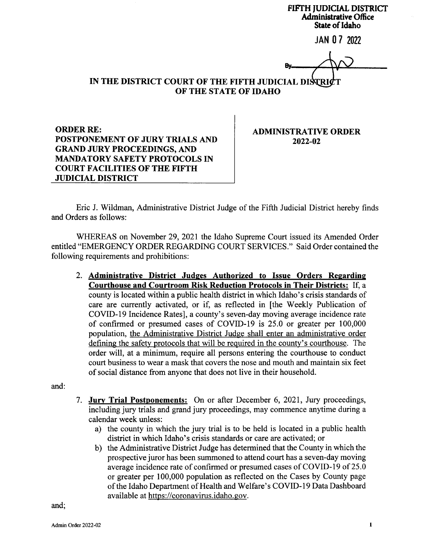FIFTH JUDICIAL DISTRICT Administrative Office State of Idaho

JAN 0 7 <sup>2022</sup>

By.

## IN THE DISTRICT COURT OF THE FIFTH JUDICIAL DISTRICT OF THE STATE OF IDAHO

ORDER RE: POSTPONEMENT OF JURY TRIALS AND GRAND JURY PROCEEDINGS, AND MANDATORY SAFETY PROTOCOLS IN COURT FACILITIES OF THE FIFTH JUDICIAL DISTRICT

ADMINISTRATIVE ORDER 2022-02

Eric J. Wildman, Administrative District Judge of the Fifth Judicial District hereby finds and Orders as follows:

WHEREAS on November 29,2021 the Idaho Supreme Court issued its Amended Order entitled "EMERGENCY ORDER REGARDING COURT SERVICES." Said Order contained the following requirements and prohibitions:

2. Administrative District Judges Authorized to Issue Orders Regarding Courthouse and Courtroom Risk Reduction Protocols in Their Districts: If, a county is located within a public health district in which Idaho's crisis standards of care are currently activated, or if, as reflected in [the Weekly Publication of COVID-I9 Incidence Rates], a county's seven-day moving average incidence rate of confirmed or presumed cases of COVID-l9 is 25.0 or greater per 100,000 population, the Administrative District Judge shall enter an administrative order defining the safety protocols that will be required in the county's courthouse. The order will, at a minimum, require all persons entering the courthouse to conduct court business to wear a mask that covers the nose and mouth and maintain six feet of social distance from anyone that does not live in their household.

and:

- 7. Jury Trial Postponements: On or after December 6, 2021, Jury proceedings, including jury trials and grand jury proceedings, may commence anytime during <sup>a</sup> calendar week unless:
	- a) the county in which the jury trial is to be held is located in a public health district in which Idaho's crisis standards or care are activated; or
	- b) the Administrative District Judge has determined that the County in which the prospective juror has been summoned to attend court has a seven-day moving average incidence rate of confirmed or presumed cases of COVID-I9 of 25.0 or greater per 100,000 population as reflected on the Cases by County page of the Idaho Department of Health and Welfare's COVID-I9 Data Dashboard available at https://coronavirus.idaho. gov.

and;